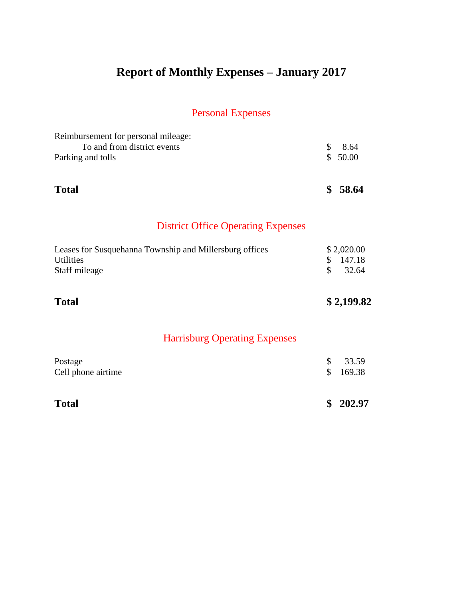# **Report of Monthly Expenses – January 2017**

# Personal Expenses

| Reimbursement for personal mileage:                     |                           |
|---------------------------------------------------------|---------------------------|
| To and from district events<br>Parking and tolls        | \$<br>8.64<br>\$<br>50.00 |
|                                                         |                           |
| <b>Total</b>                                            | \$<br>58.64               |
| <b>District Office Operating Expenses</b>               |                           |
| Leases for Susquehanna Township and Millersburg offices | \$2,020.00                |
| <b>Utilities</b>                                        | 147.18<br>\$              |
| Staff mileage                                           | \$<br>32.64               |
| <b>Total</b>                                            | \$2,199.82                |
| <b>Harrisburg Operating Expenses</b>                    |                           |
| Postage                                                 | \$<br>33.59               |
| Cell phone airtime                                      | \$<br>169.38              |
| <b>Total</b>                                            | \$<br>202.97              |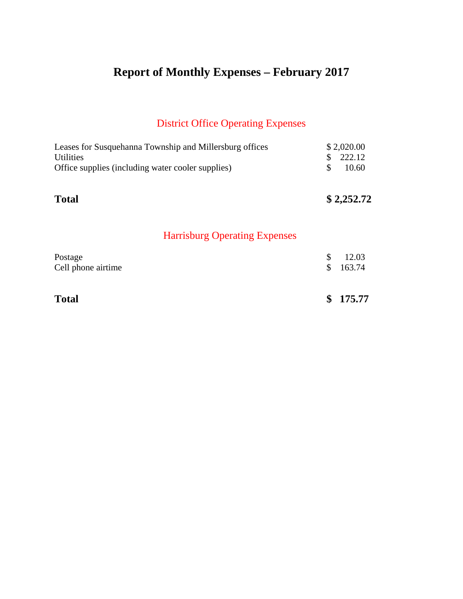# **Report of Monthly Expenses – February 2017**

# District Office Operating Expenses

| Leases for Susquehanna Township and Millersburg offices<br><b>Utilities</b> | \$<br>\$2,020.00<br>222.12 |
|-----------------------------------------------------------------------------|----------------------------|
| Office supplies (including water cooler supplies)                           | \$<br>10.60                |
| <b>Total</b>                                                                | \$2,252.72                 |
| <b>Harrisburg Operating Expenses</b>                                        |                            |
| Postage                                                                     | \$<br>12.03                |
| Cell phone airtime                                                          | \$<br>163.74               |
| <b>Total</b>                                                                | \$<br>175.77               |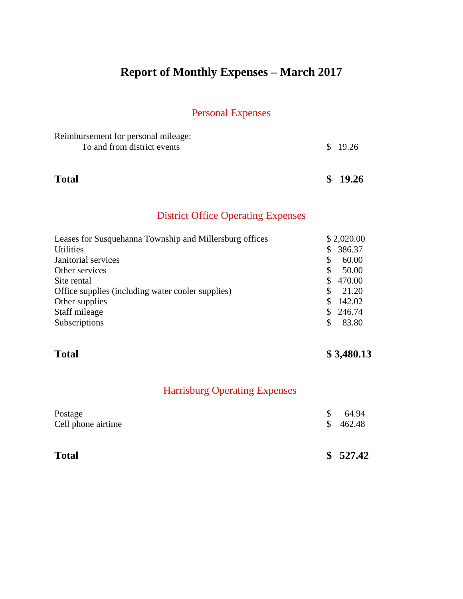# **Report of Monthly Expenses – March 2017**

#### Personal Expenses

| Reimbursement for personal mileage: |         |
|-------------------------------------|---------|
| To and from district events         | \$19.26 |
|                                     |         |
|                                     |         |

**Total \$ 19.26**

#### District Office Operating Expenses

| Leases for Susquehanna Township and Millersburg offices |     | \$2,020.00 |
|---------------------------------------------------------|-----|------------|
| <b>Utilities</b>                                        | \$  | 386.37     |
| Janitorial services                                     | S   | 60.00      |
| Other services                                          | S   | 50.00      |
| Site rental                                             |     | \$470.00   |
| Office supplies (including water cooler supplies)       | S   | 21.20      |
| Other supplies                                          | SS. | 142.02     |
| Staff mileage                                           |     | \$246.74   |
| Subscriptions                                           | S   | 83.80      |

#### **Total \$ 3,480.13**

| <b>Total</b>       |                | \$527.42 |
|--------------------|----------------|----------|
| Cell phone airtime | $\mathbb{S}^-$ | 462.48   |
| Postage            | \$             | 64.94    |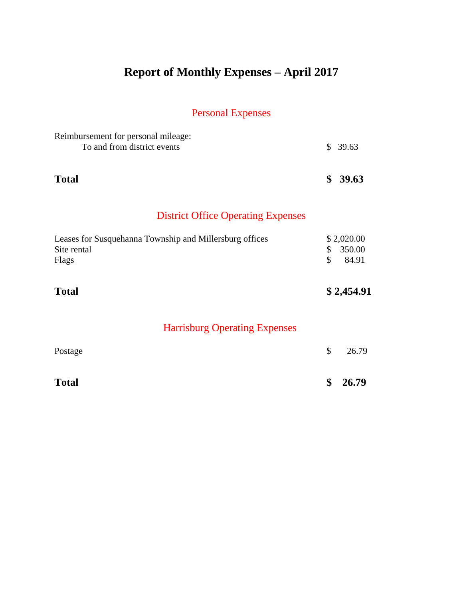# **Report of Monthly Expenses – April 2017**

# Personal Expenses

| Reimbursement for personal mileage:<br>To and from district events              |          | \$39.63                       |
|---------------------------------------------------------------------------------|----------|-------------------------------|
| <b>Total</b>                                                                    | \$       | 39.63                         |
| <b>District Office Operating Expenses</b>                                       |          |                               |
| Leases for Susquehanna Township and Millersburg offices<br>Site rental<br>Flags | \$<br>\$ | \$2,020.00<br>350.00<br>84.91 |
| <b>Total</b>                                                                    |          | \$2,454.91                    |
| <b>Harrisburg Operating Expenses</b>                                            |          |                               |
| Postage                                                                         | \$       | 26.79                         |
| <b>Total</b>                                                                    | \$       | 26.79                         |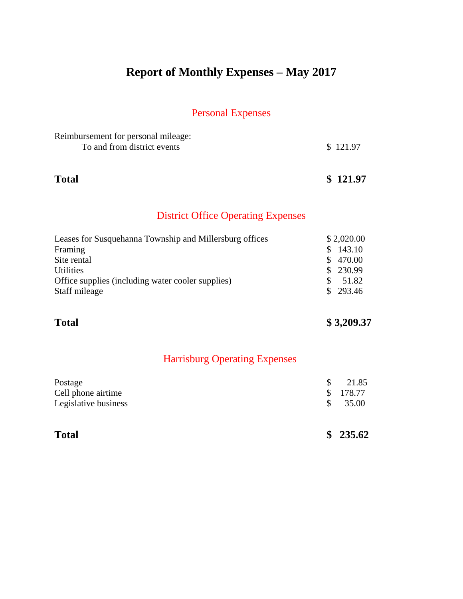# **Report of Monthly Expenses – May 2017**

#### Personal Expenses

| Reimbursement for personal mileage: |          |
|-------------------------------------|----------|
| To and from district events         | \$121.97 |
|                                     |          |

**Total \$ 121.97**

#### District Office Operating Expenses

| Leases for Susquehanna Township and Millersburg offices | \$2,020.00              |
|---------------------------------------------------------|-------------------------|
| Framing                                                 | 143.10<br>$\mathcal{S}$ |
| Site rental                                             | \$470.00                |
| <b>Utilities</b>                                        | \$230.99                |
| Office supplies (including water cooler supplies)       | 51.82                   |
| Staff mileage                                           | \$293.46                |
|                                                         |                         |

### **Total \$ 3,209.37**

| <b>Total</b>         |    | \$235.62 |
|----------------------|----|----------|
| Legislative business | S. | 35.00    |
| Cell phone airtime   |    | \$178.77 |
| Postage              | S. | 21.85    |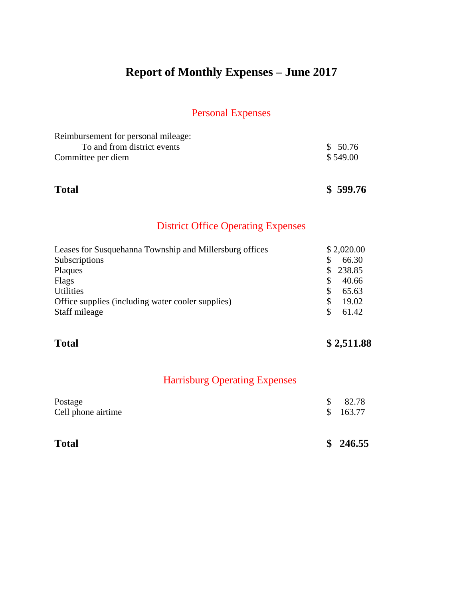# **Report of Monthly Expenses – June 2017**

#### Personal Expenses

| Reimbursement for personal mileage: |          |
|-------------------------------------|----------|
| To and from district events         | \$50.76  |
| Committee per diem                  | \$549.00 |

**Total \$ 599.76**

#### District Office Operating Expenses

| Leases for Susquehanna Township and Millersburg offices | \$2,020.00 |
|---------------------------------------------------------|------------|
| Subscriptions                                           | 66.30      |
| Plaques                                                 | \$238.85   |
| Flags                                                   | 40.66      |
| <b>Utilities</b>                                        | 65.63      |
| Office supplies (including water cooler supplies)       | 19.02      |
| Staff mileage                                           | 61.42      |

### **Total \$ 2,511.88**

| <b>Total</b>       |  | \$246.55 |
|--------------------|--|----------|
| Postage            |  | 82.78    |
| Cell phone airtime |  | \$163.77 |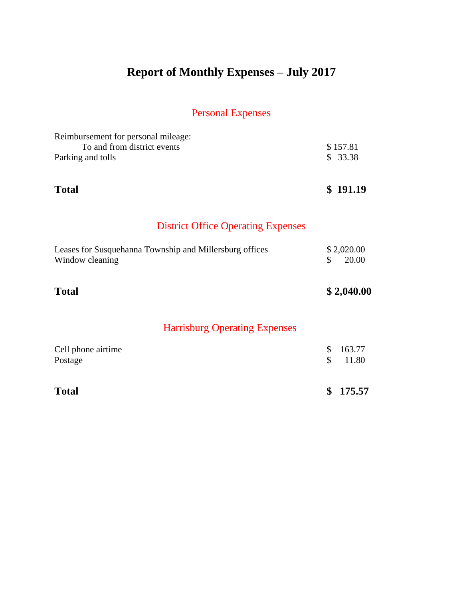# **Report of Monthly Expenses – July 2017**

# Personal Expenses

| Reimbursement for personal mileage:<br>To and from district events<br>Parking and tolls | \$157.81<br>\$33.38       |
|-----------------------------------------------------------------------------------------|---------------------------|
|                                                                                         |                           |
| <b>Total</b>                                                                            | \$191.19                  |
| <b>District Office Operating Expenses</b>                                               |                           |
| Leases for Susquehanna Township and Millersburg offices<br>Window cleaning              | \$2,020.00<br>20.00<br>\$ |
| <b>Total</b>                                                                            | \$2,040.00                |
| <b>Harrisburg Operating Expenses</b>                                                    |                           |
| Cell phone airtime                                                                      | \$<br>163.77              |
| Postage                                                                                 | \$<br>11.80               |
| <b>Total</b>                                                                            | \$<br>175.57              |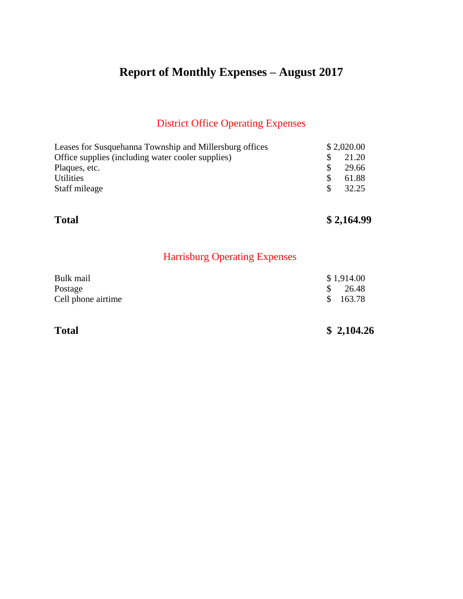# **Report of Monthly Expenses – August 2017**

#### District Office Operating Expenses

| Leases for Susquehanna Township and Millersburg offices |     | \$2,020.00 |
|---------------------------------------------------------|-----|------------|
| Office supplies (including water cooler supplies)       |     | 21.20      |
| Plaques, etc.                                           | S.  | 29.66      |
| <b>Utilities</b>                                        |     | 61.88      |
| Staff mileage                                           | SS. | 32.25      |
|                                                         |     |            |

**Total \$ 2,164.99** 

### Harrisburg Operating Expenses

| Bulk mail          | \$1,914.00         |
|--------------------|--------------------|
| Postage            | $\frac{\$}{26.48}$ |
| Cell phone airtime | \$163.78           |

### **Total \$ 2,104.26**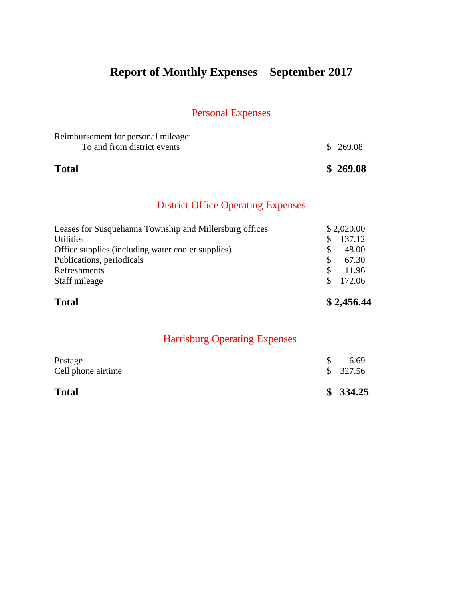# **Report of Monthly Expenses – September 2017**

#### Personal Expenses

| <b>Total</b>                        | \$269.08 |
|-------------------------------------|----------|
| To and from district events         | \$269.08 |
| Reimbursement for personal mileage: |          |

#### District Office Operating Expenses

| <b>Total</b>                                            |            | \$2,456.44 |
|---------------------------------------------------------|------------|------------|
| Staff mileage                                           | \$.        | 172.06     |
| Refreshments                                            | S          | 11.96      |
| Publications, periodicals                               | <b>S</b>   | 67.30      |
| Office supplies (including water cooler supplies)       | S          | 48.00      |
| <b>Utilities</b>                                        | S          | 137.12     |
| Leases for Susquehanna Township and Millersburg offices | \$2,020.00 |            |

| <b>Total</b>                  | \$334.25         |
|-------------------------------|------------------|
| Postage<br>Cell phone airtime | 6.69<br>\$327.56 |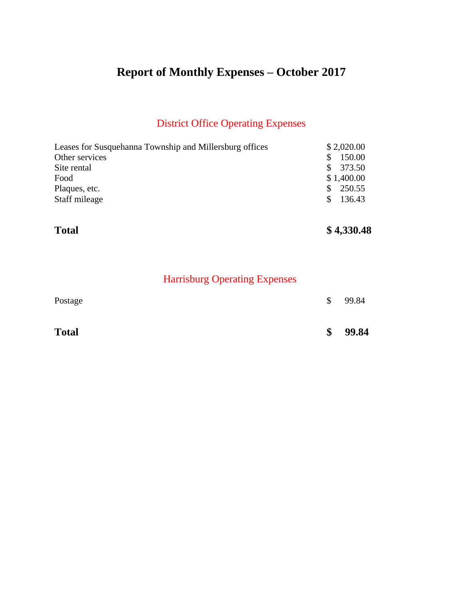# **Report of Monthly Expenses – October 2017**

### District Office Operating Expenses

| Leases for Susquehanna Township and Millersburg offices | \$2,020.00    |
|---------------------------------------------------------|---------------|
| Other services                                          | 150.00        |
| Site rental                                             | 373.50<br>SS. |
| Food                                                    | \$1,400.00    |
| Plaques, etc.                                           | 250.55        |
| Staff mileage                                           | 136.43        |
|                                                         |               |

**Total \$ 4,330.48** 

| <b>Total</b> | \$<br>99.84 |
|--------------|-------------|
| Postage      | \$<br>99.84 |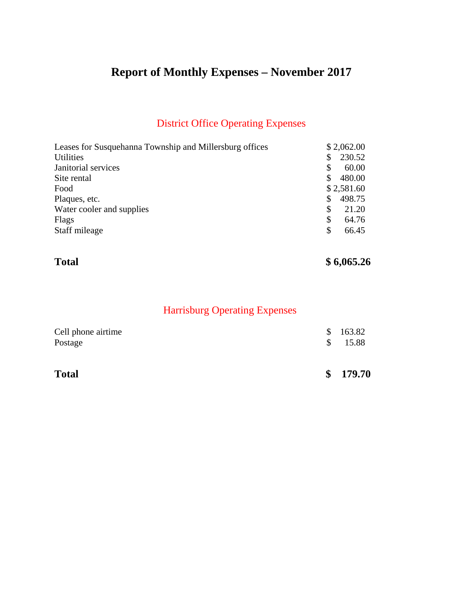# **Report of Monthly Expenses – November 2017**

### District Office Operating Expenses

| Leases for Susquehanna Township and Millersburg offices | \$2,062.00 |
|---------------------------------------------------------|------------|
| <b>Utilities</b><br>\$                                  | 230.52     |
| Janitorial services<br>\$                               | 60.00      |
| Site rental                                             | 480.00     |
| Food                                                    | \$2,581.60 |
| Plaques, etc.<br>S                                      | 498.75     |
| Water cooler and supplies<br>\$                         | 21.20      |
| \$<br>Flags                                             | 64.76      |
| Staff mileage<br>\$                                     | 66.45      |

### **Total** \$6,065.26

| <b>Total</b>                  |               | \$179.70          |
|-------------------------------|---------------|-------------------|
| Cell phone airtime<br>Postage | <sup>\$</sup> | \$163.82<br>15.88 |